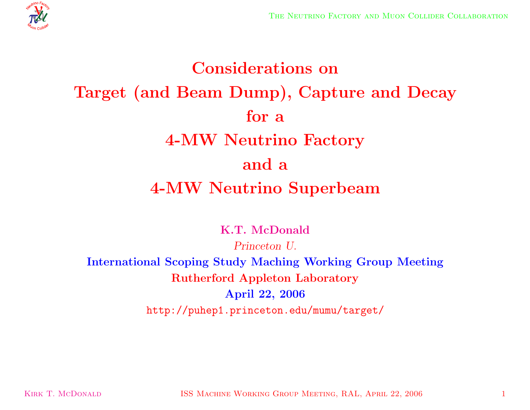

# **Considerations on Target (and Beam Dump), Capture and Decay for <sup>a</sup> 4-MW Neutrino Factory and <sup>a</sup> 4-MW Neutrino Superbeam**

**K.T. McDonald**

*Princeton U.* **International Scoping Study Maching Working Group Meeting Rutherford Appleton Laboratory April 22, 2006** http://puhep1.princeton.edu/mumu/target/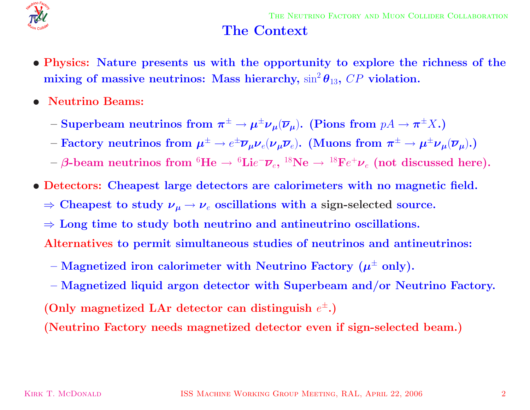

#### **The Context**

- Physics: Nature presents us with the opportunity to explore the richness of the  $\bm{\mathrm{mixing}}$  of massive  $\bm{\mathrm{neutrinos:}}$   $\bm{\mathrm{Mass~hierarchy,}}$   $\sin^2\bm{\theta}_{13},$   $CP$   $\bm{\mathrm{violation.}}$
- *•* **Neutrino Beams:**
	- $-$  **Superbeam neutrinos from**  $\pi^{\pm} \to \mu^{\pm} \nu_{\mu} (\overline{\nu}_{\mu}).$  **(Pions from**  $pA \to \pi^{\pm} X.$ **)**
	- $-$  Factory neutrinos from  $\bm{\mu}^\pm \to e^\pm \overline{\bm{\nu}}_{\bm{\mu}} \bm{\nu}_e (\bm{\nu}_{\bm{\mu}} \overline{\bm{\nu}}_e)$ . (Muons from  $\bm{\pi}^\pm \to \bm{\mu}^\pm \bm{\nu}_{\bm{\mu}} (\overline{\bm{\nu}}_{\bm{\mu}})$ .)
	- $\rightarrow$   $\beta$ -beam neutrinos from  ${}^6\textrm{He} \rightarrow {}^6\textrm{Lie}^-\overline{\nu}_e,$   ${}^{18}\textrm{Ne} \rightarrow {}^{18}\textrm{Fe}^+\nu_e$  (not discussed here).
- *•* **Detectors: Cheapest large detectors are calorimeters with no magnetic field.**
	- $\Rightarrow$  Cheapest to study  $\nu_\mu \rightarrow \nu_e$  oscillations with a sign-selected source.
	- <sup>⇒</sup> **Long time to study both neutrino and antineutrino oscillations.**
	- **Alternatives to permit simultaneous studies of neutrinos and antineutrinos:**
	- $-$  **Magnetized iron calorimeter with Neutrino Factory**  $(\mu^{\pm}$  **only).**
	- **– Magnetized liquid argon detector with Superbeam and/or Neutrino Factory.**  $($  Only magnetized LAr detector can distinguish  $e^{\pm}$ . $)$

**(Neutrino Factory needs magnetized detector even if sign-selected beam.)**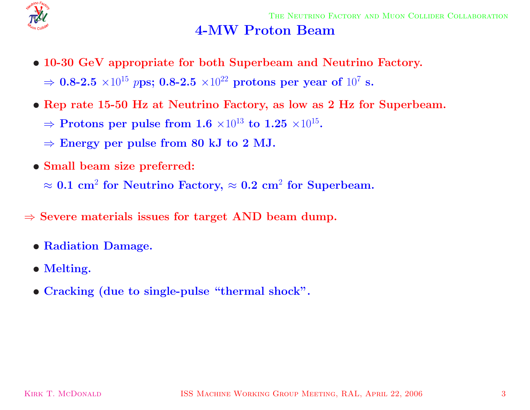

#### **4-MW Proton Beam**

- *•* **10-30 GeV appropriate for both Superbeam and Neutrino Factory.**  $\Rightarrow$  **0.8-2.5**  $\times 10^{15}$   $p$ ps; **0.8-2.5**  $\times 10^{22}$  protons per year of  $10^{7}$  s.
- Rep rate 15-50 Hz at Neutrino Factory, as low as 2 Hz for Superbeam.
	- $\Rightarrow$  **Protons per pulse from 1.6**  $\times10^{13}$  to  $1.25$   $\times10^{15}$ .
	- $\Rightarrow$  **Energy** per pulse from 80 kJ to 2 MJ.
- *•* **Small beam size preferred:**

 $\approx 0.1 \text{ cm}^2 \text{ for Neutrino } \text{Factory, } \approx 0.2 \text{ cm}^2 \text{ for Superbeam.}$ 

- <sup>⇒</sup> **Severe materials issues for target AND beam dump.**
	- *•* **Radiation Damage.**
	- *•* **Melting.**
	- *•* **Cracking (due to single-pulse "thermal shock".**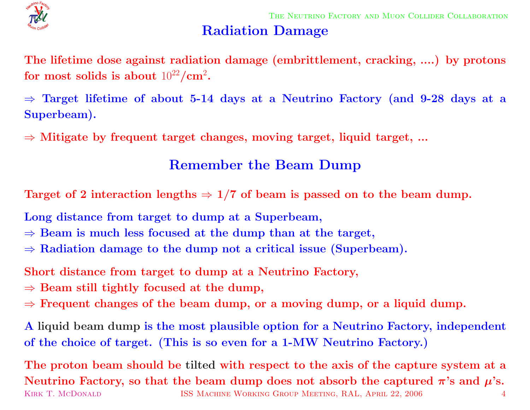

## **Radiation Damage**

The lifetime dose against radiation damage (embrittlement, cracking, ....) by protons  ${\bf f}$  **or**  ${\bf m}{\bf o}{\bf s}$   ${\bf t}$   ${\bf s}$   ${\bf a}{\bf b}{\bf o}{\bf u}{\bf t}$   $10^{22}/{\bf cm}^2$ .

 $\Rightarrow$  Target lifetime of about 5-14 days at a Neutrino Factory (and 9-28 days at a **Superbeam).**

<sup>⇒</sup> **Mitigate by frequent target changes, moving target, liquid target, ...**

## **Remember the Beam Dump**

Target of 2 interaction lengths  $\Rightarrow$  1/7 of beam is passed on to the beam dump.

**Long distance from target to dump at <sup>a</sup> Superbeam,**

- $\Rightarrow$  **Beam** is much less focused at the dump than at the target,
- <sup>⇒</sup> **Radiation damage to the dump not <sup>a</sup> critical issue (Superbeam).**

**Short distance from target to dump at <sup>a</sup> Neutrino Factory,**

- $\Rightarrow$  **Beam** still tightly focused at the dump,
- $\Rightarrow$  Frequent changes of the beam dump, or a moving dump, or a liquid dump.

A liquid beam dump is the most plausible option for a Neutrino Factory, independent of the choice of target. (This is so even for a 1-MW Neutrino Factory.)

The proton beam should be tilted with respect to the axis of the capture system at a Neutrino Factory, so that the beam dump does not absorb the captured  $\pi$ 's and  $\mu$ 's. KIRK T. MCDONALD **ISS MACHINE WORKING GROUP MEETING, RAL, APRIL 22, 2006** 4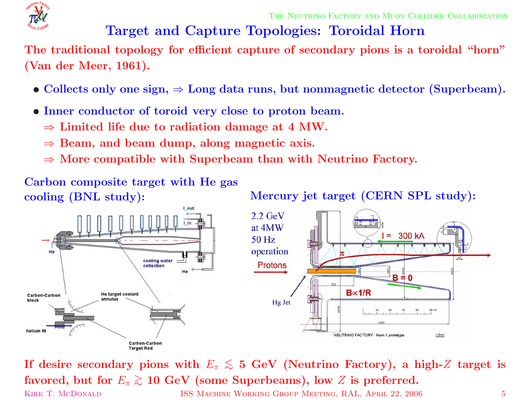

THE NEUTRINO FACTORY AND MUON COLLIDER COLLABORATION

# **Target and Capture Topologies: Toroidal Horn**

The traditional topology for efficient capture of secondary pions is a toroidal "horn" **(Van der Meer, 1961).**

- $\bullet$  Collects only one sign,  $\Rightarrow$  Long data runs, but nonmagnetic detector (Superbeam).
- *•* **Inner conductor of toroid very close to proton beam.**
	- <sup>⇒</sup> **Limited life due to radiation damage at 4 MW.**
	- <sup>⇒</sup> **Beam, and beam dump, along magnetic axis.**
	- <sup>⇒</sup> **More compatible with Superbeam than with Neutrino Factory.**

**Carbon composite target with He gas**

**cooling** (BNL study): Mercury jet target (CERN SPL study):



If desire secondary pions with  $E_\pi \lesssim$  5 GeV (Neutrino Factory), a high-Z target is  ${\bf f}$  avored, but for  $E_\pi\gtrsim10\,{\, {\rm GeV}}$  (some Superbeams), low  $Z$  is preferred. KIRK T. MCDONALD **ISS MACHINE WORKING GROUP MEETING, RAL, APRIL 22, 2006** 5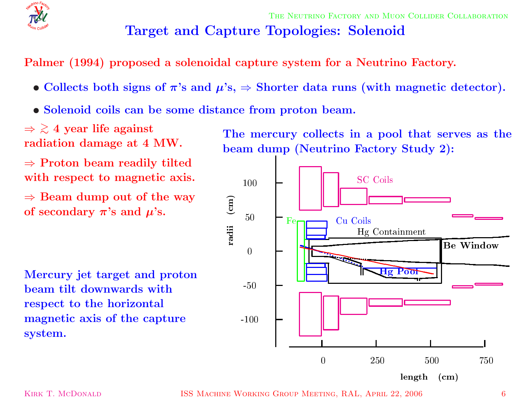

# **Target and Capture Topologies: Solenoid**

**Palmer (1994) proposed <sup>a</sup> solenoidal capture system for <sup>a</sup> Neutrino Factory.**

- Collects both signs of  $\pi$ 's and  $\mu$ 's,  $\Rightarrow$  Shorter data runs (with magnetic detector).
- *•* **Solenoid coils can be some distance from proton beam.**

⇒ > ∼ **4 year life against radiation damage at 4 MW.**

<sup>⇒</sup> **Proton beam readily tilted with respect to magnetic axis.**

 $\Rightarrow$  **Beam dump** out of the way  $\mathbf{p}$  **of** secondary  $\boldsymbol{\pi}$ 's and  $\boldsymbol{\mu}$ 's.

**Mercury jet target and proton beam tilt downwards with respect to the horizontal magnetic axis of the capture system.**

**The mercury collects in <sup>a</sup> pool that serves as the beam dump (Neutrino Factory Study 2):**

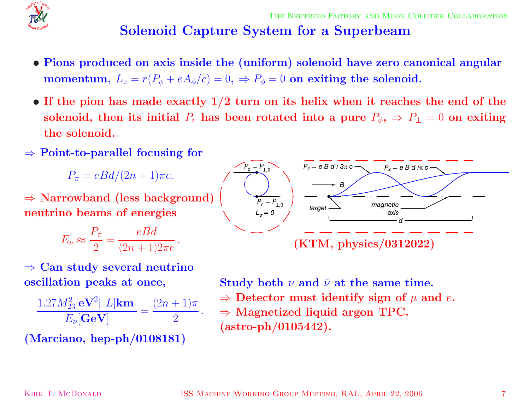

# **Solenoid Capture System for <sup>a</sup> Superbeam**

- Pions produced on axis inside the (uniform) solenoid have zero canonical angular  ${\bf momentum},\; L_z=r(P_\phi+eA_\phi/c)=0,\;\Rightarrow P_\phi=0\;\,{\bf on}\;\,{\bf exiting}\;\,{\bf the}\;\,{\bf solenoid}.$
- If the pion has made exactly  $1/2$  turn on its helix when it reaches the end of the solenoid, then its initial  $P_r$  has been rotated into a pure  $P_\phi, \, \Rightarrow \, P_\bot = 0$  on exiting **the solenoid.**
- <sup>⇒</sup> **Point-to-parallel focusing for**

 $P_\pi=eBd/(2n+1)\pi c.$ 

<sup>⇒</sup> **Narrowband (less background) neutrino beams of energies**

$$
E_{\nu} \approx \frac{P_{\pi}}{2} = \frac{eBd}{(2n+1)2\pi c}.
$$



$$
\frac{1.27M_{23}^2[\mathbf{eV}^2] L[\mathbf{km}]}{E_{\nu}[\mathbf{GeV}]} = \frac{(2n+1)\pi}{2}.
$$

**(Marciano, hep-ph/0108181)**



 ${\bf Study\ both\ \ \nu\ and\ \ \bar\nu\ at\ the\ same\ time.}$  $\Rightarrow$  Detector must identify sign of  $\mu$  and  $e$ . <sup>⇒</sup> **Magnetized liquid argon TPC. (astro-ph/0105442).**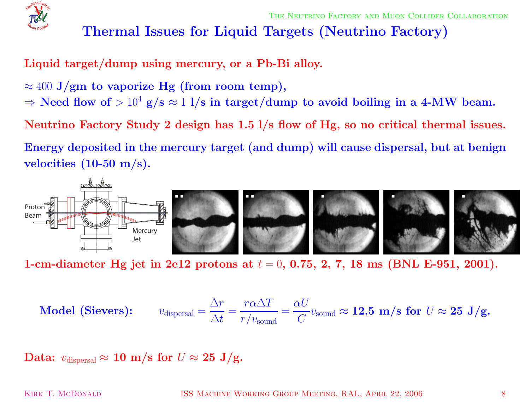

## **Thermal Issues for Liquid Targets (Neutrino Factory)**

**Liquid target/dump using mercury, or <sup>a</sup> Pb-Bi alloy.**

- $\approx 400$   $\mathrm{J}/\mathrm{gm}$  to vaporize  $\mathrm{Hg}$  (from room temp),
- $\Rightarrow$  Need flow of  $>10^4$  g/s  $\approx$  1 l/s in target/dump to avoid boiling in a 4-MW beam.

Neutrino Factory Study 2 design has  $1.5$   $1/s$  flow of Hg, so no critical thermal issues.

Energy deposited in the mercury target (and dump) will cause dispersal, but at benign **velocities (10-50 m/s).**



1-cm-diameter Hg jet in 2e12 protons at  $t = 0, \, 0.75, \, 2, \, 7, \, 18 \, \, \mathrm{ms}$  (BNL E-951, 2001).

$$
\textbf{Model (Sieves):} \qquad v_{\text{dispersal}} = \frac{\Delta r}{\Delta t} = \frac{r\alpha\Delta T}{r/v_{\text{sound}}} = \frac{\alpha U}{C} v_{\text{sound}} \approx 12.5 \, \text{m/s for } U \approx 25 \, \text{J/g.}
$$

 $\mathbf{Data:}~~v_{\text{dispersal}} \approx \mathbf{10}~\mathbf{m/s}~\mathbf{for}~U \approx \mathbf{25}~\mathbf{J/g}.$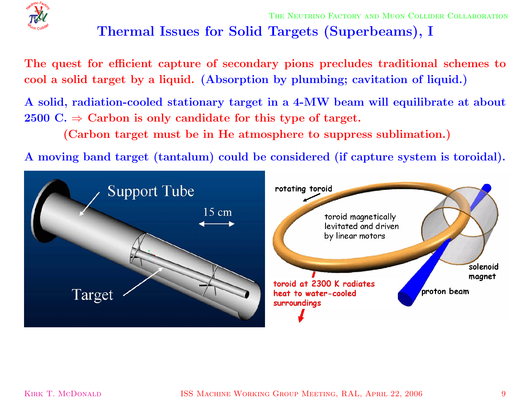

# **Thermal Issues for Solid Targets (Superbeams), <sup>I</sup>**

The quest for efficient capture of secondary pions precludes traditional schemes to cool a solid target by a liquid. (Absorption by plumbing; cavitation of liquid.)

A solid, radiation-cooled stationary target in a 4-MW beam will equilibrate at about  $2500 \text{ C.} \Rightarrow \text{ Carbon is only candidate for this type of target.}$ 

**(Carbon target must be in He atmosphere to suppress sublimation.)**

A moving band target (tantalum) could be considered (if capture system is toroidal).

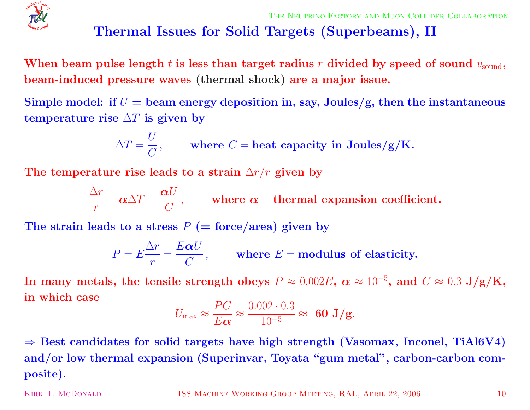

## **Thermal Issues for Solid Targets (Superbeams), II**

When beam pulse length  $t$  is less than target radius  $r$  divided by speed of sound  $v_{\rm sound},$ **beam-induced pressure waves (thermal shock) are <sup>a</sup> major issue.**

Simple model: if  $U=$  beam energy deposition in, say, Joules/g, then the instantaneous  ${\bf t}$  **emperature**  ${\bf r}$  **ise**  $\Delta T$  **is given by** 

$$
\Delta T = \frac{U}{C}, \quad \text{where } C = \text{heat capacity in Joules/g/K.}
$$

The <code>temperature</code> rise leads to a strain  $\Delta r/r$  given by

$$
\frac{\Delta r}{r} = \alpha \Delta T = \frac{\alpha U}{C},
$$
 where  $\alpha$  = thermal expansion coefficient.

 $\bf{The \ strain \ leads \ to \ a \ stress \ } P \ (= \rm force/area) \ given \ by$ 

$$
P = E \frac{\Delta r}{r} = \frac{E \alpha U}{C},
$$
 where  $E$  = modulus of elasticity.

 ${\bf In\ many\ metals,\ the\ tensile\ strength\ obeys\ } P \approx 0.002E,\ \alpha \approx 10^{-5},\ {\bf and}\ \ C \approx 0.3\ {\bf J/g/K,}$ **in which case**

$$
U_{\text{max}} \approx \frac{PC}{E\alpha} \approx \frac{0.002 \cdot 0.3}{10^{-5}} \approx 60 \text{ J/g}.
$$

 $\Rightarrow$  Best candidates for solid targets have high strength (Vasomax, Inconel, TiAl6V4) **and/or low thermal expansion (Superinvar, Toyata "gum metal", carbon-carbon composite).**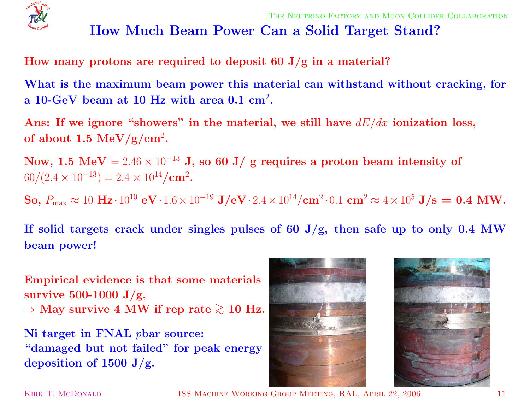

## **How Much Beam Power Can <sup>a</sup> Solid Target Stand?**

**How many protons are required to deposit <sup>60</sup> J/g in <sup>a</sup> material?**

What is the maximum beam power this material can withstand without cracking, for **<sup>a</sup> 10-GeV beam at 10 Hz with area 0.1 cm** 2**.**

Ans: If we ignore "showers" in the material, we still have  $dE/dx$  ionization loss,  ${\bf of~about~1.5~MeV/g/cm^2}.$ 

 ${\bf Now,\ 1.5\,\ MeV} = 2.46\times 10^{-13}$  J, so  $60$  J/ g requires a proton beam intensity of  $60/(2.4 \times 10^{-13}) = 2.4 \times 10^{14}/\text{cm}^2$ .

 ${\bf So,\ P_{\max}\approx10\ {\bf Hz}\cdot10^{10}\ {\bf eV}\cdot1.6\times10^{-19}\ {\bf J/eV}\cdot2.4\times10^{14}/{\bf cm}^2\cdot0.1\ {\bf cm}^2\approx4\times10^5\ {\bf J/s}=\ {\bf 0.4\ MW}.$ 

If solid targets crack under singles pulses of 60 J/g, then safe up to only 0.4 MW **beam power!**

**Empirical evidence is that some materials survive 500-1000 J/g,**  $\Rightarrow$  May survive 4 MW if rep rate  $\gtrsim 10$  Hz.

**Ni target in FNAL** p**bar source: "damaged but not failed" for peak energy deposition** of  $1500 \text{ J/g.}$ 





KIRK T. MCDONALD **ISS MACHINE WORKING GROUP MEETING, RAL, APRIL 22, 2006** 11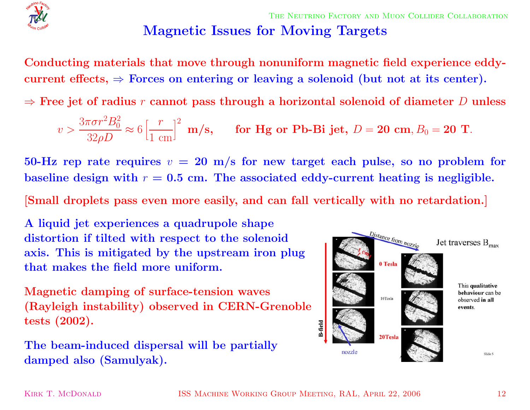

THE NEUTRINO FACTORY AND MUON COLLIDER COLLABORATION **Magnetic Issues for Moving Targets**

**Conducting materials that move through nonuniform magnetic field experience eddy-** $\text{current effects,} \Rightarrow \text{Forces on entering or leaving a solenoid (but not at its center).}$ 

 $\Rightarrow$  Free jet of radius  $r$  cannot pass through a horizontal solenoid of diameter  $D$  unless

$$
v > \frac{3\pi\sigma r^2B_0^2}{32\rho D} \approx 6\left[\frac{r}{1 \text{ cm}}\right]^2 \text{ m/s}, \quad \text{for Hg or Pb-Bi jet, } D = 20 \text{ cm}, B_0 = 20 \text{ T}.
$$

 $50\text{-}\mathrm{Hz}$  rep rate requires  $v\,=\,20\,$  m/s for new target each pulse, so no problem for baseline design with  $r = 0.5$  cm. The associated eddy-current heating is negligible.

[Small droplets pass even more easily, and can fall vertically with no retardation.]

**A liquid jet experiences <sup>a</sup> quadrupole shape distortion if tilted with respect to the solenoid axis. This is mitigated by the upstream iron plug that makes the field more uniform.**

**Magnetic damping of surface-tension waves (Rayleigh instability) observed in CERN-Grenoble tests (2002).**

**The beam-induced dispersal will be partially damped also (Samulyak).**

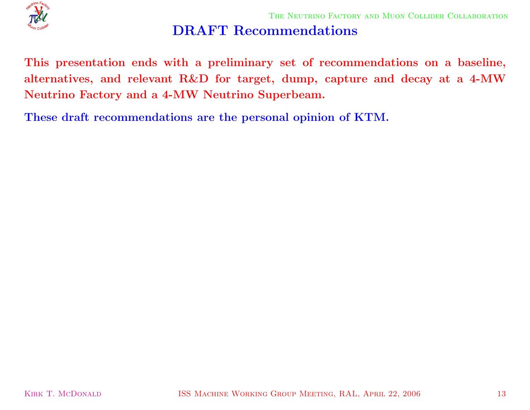

## **DRAFT Recommendations**

This presentation ends with a preliminary set of recommendations on a baseline, alternatives, and relevant R&D for target, dump, capture and decay at a 4-MW **Neutrino Factory and <sup>a</sup> 4-MW Neutrino Superbeam.**

**These draft recommendations are the personal opinion of KTM.**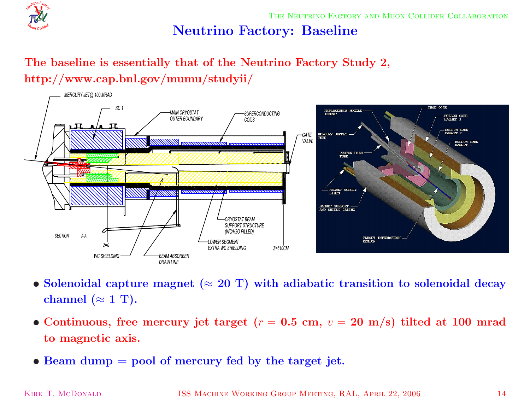

THE NEUTRINO FACTORY AND MUON COLLIDER COLLABORATION

#### **Neutrino Factory: Baseline**

#### **The baseline is essentially that of the Neutrino Factory Study 2, http://www.cap.bnl.gov/mumu/studyii/**



- $\bullet$  Solenoidal capture magnet ( $\approx 20$  T) with adiabatic transition to solenoidal decay  $\bf{channel}\ (\approx 1\ T).$
- Continuous, free mercury jet target ( $r = 0.5$  cm,  $v = 20$  m/s) tilted at 100 mrad **to magnetic axis.**
- *•* **Beam dump <sup>=</sup> pool of mercury fed by the target jet.**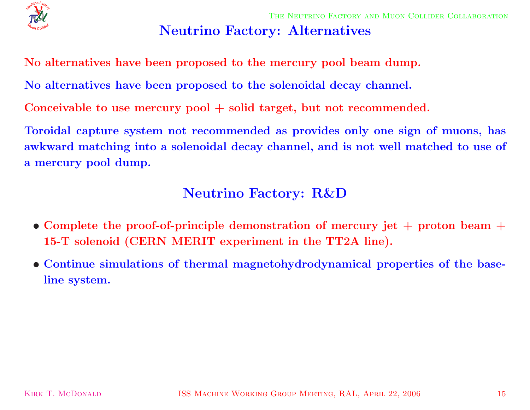

#### **Neutrino Factory: Alternatives**

**No alternatives have been proposed to the mercury pool beam dump.**

**No alternatives have been proposed to the solenoidal decay channel.**

**Conceivable to use mercury pool + solid target, but not recommended.**

Toroidal capture system not recommended as provides only one sign of muons, has awkward matching into a solenoidal decay channel, and is not well matched to use of **<sup>a</sup> mercury pool dump.**

#### **Neutrino Factory: R&D**

- Complete the proof-of-principle demonstration of mercury jet  $+$  proton beam  $+$ **15-T solenoid (CERN MERIT experiment in the TT2A line).**
- *•* **Continue simulations of thermal magnetohydrodynamical properties of the baseline system.**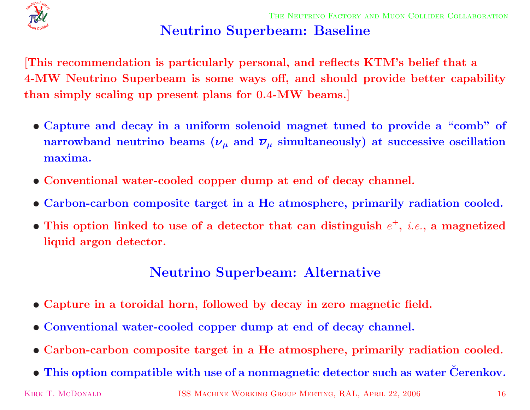

# **Neutrino Superbeam: Baseline**

This recommendation is particularly personal, and reflects KTM's belief that a 4-MW Neutrino Superbeam is some ways off, and should provide better capability **than simply scaling up present <sup>p</sup>lans for 0.4-MW beams.]**

- Capture and decay in a uniform solenoid magnet tuned to provide a "comb" of  ${\bf p}$   ${\bf p}$   ${\bf p}$   ${\bf p}$   ${\bf p}$   ${\bf p}$   ${\bf p}$   ${\bf p}$   ${\bf p}$   ${\bf p}$   ${\bf p}$   ${\bf p}$   ${\bf p}$   ${\bf p}$   ${\bf p}$   ${\bf p}$   ${\bf p}$   ${\bf p}$   ${\bf p}$   ${\bf p}$   ${\bf p}$   ${\bf p}$   ${\bf p}$   ${\bf p}$   ${\bf p}$   ${\bf p}$   ${\bf p}$   ${\bf p}$   ${\bf p}$   ${\bf p}$   ${\bf p}$   ${\bf p$ **maxima.**
- *•* **Conventional water-cooled copper dump at end of decay channel.**
- Carbon-carbon composite target in a He atmosphere, primarily radiation cooled.
- This option linked to use of a detector that can distinguish  $e^{\pm}$ , *i.e.*, a magnetized **liquid argon detector.**

#### **Neutrino Superbeam: Alternative**

- Capture in a toroidal horn, followed by decay in zero magnetic field.
- *•* **Conventional water-cooled copper dump at end of decay channel.**
- Carbon-carbon composite target in a He atmosphere, primarily radiation cooled.
- $\bullet$  This option compatible with use of a nonmagnetic detector such as water Čerenkov.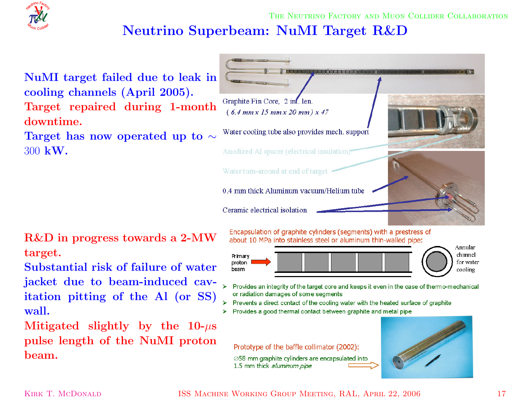# **Neutrino Superbeam: NuMI Target R&D**



**NuMI target failed due to leak in cooling channels (April 2005). Target repaired during 1-month downtime.**

 $\bm{\Gamma}$ arget has now operated up to  $\sim$ 300 **kW.**

**R&D in progress towards <sup>a</sup> 2-MW target.**

**Substantial risk of failure of water jacket due to beam-induced cavitation <sup>p</sup>itting of the Al (or SS) wall.**

 ${\bf Miltigated}$   ${\bf slightly}$   ${\bf by}$   ${\bf the}$   ${\bf 10}\text{-}\mu{\bf s}$ **pulse length of the NuMI proton beam.**



Encapsulation of graphite cylinders (segments) with a prestress of about 10 MPa into stainless steel or aluminum thin-walled pipe:



- Provides an integrity of the target core and keeps it even in the case of thermo-mechanical or radiation damages of some segments
- > Prevents a direct contact of the cooling water with the heated surface of graphite
- Provides a good thermal contact between graphite and metal pipe  $\blacktriangleright$

Prototype of the baffle collimator (2002):

 $\varnothing$ 58 mm graphite cylinders are encapsulated into 1.5 mm thick aluminum pipe